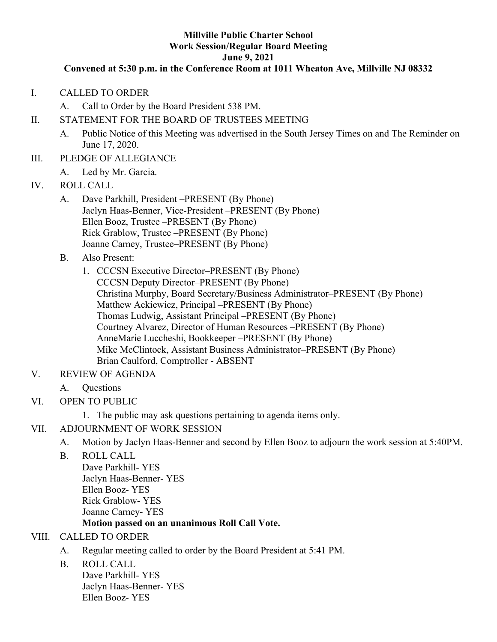#### **Millville Public Charter School Work Session/Regular Board Meeting June 9, 2021**

#### **Convened at 5:30 p.m. in the Conference Room at 1011 Wheaton Ave, Millville NJ 08332**

- I. CALLED TO ORDER
	- A. Call to Order by the Board President 538 PM.
- II. STATEMENT FOR THE BOARD OF TRUSTEES MEETING
	- A. Public Notice of this Meeting was advertised in the South Jersey Times on and The Reminder on June 17, 2020.
- III. PLEDGE OF ALLEGIANCE
	- A. Led by Mr. Garcia.
- IV. ROLL CALL
	- A. Dave Parkhill, President –PRESENT (By Phone) Jaclyn Haas-Benner, Vice-President –PRESENT (By Phone) Ellen Booz, Trustee –PRESENT (By Phone) Rick Grablow, Trustee –PRESENT (By Phone) Joanne Carney, Trustee–PRESENT (By Phone)
	- B. Also Present:
		- 1. CCCSN Executive Director–PRESENT (By Phone) CCCSN Deputy Director–PRESENT (By Phone) Christina Murphy, Board Secretary/Business Administrator–PRESENT (By Phone) Matthew Ackiewicz, Principal –PRESENT (By Phone) Thomas Ludwig, Assistant Principal –PRESENT (By Phone) Courtney Alvarez, Director of Human Resources –PRESENT (By Phone) AnneMarie Luccheshi, Bookkeeper –PRESENT (By Phone) Mike McClintock, Assistant Business Administrator–PRESENT (By Phone) Brian Caulford, Comptroller - ABSENT
- V. REVIEW OF AGENDA
	- A. Questions
- VI. OPEN TO PUBLIC
	- 1. The public may ask questions pertaining to agenda items only.
- VII. ADJOURNMENT OF WORK SESSION
	- A. Motion by Jaclyn Haas-Benner and second by Ellen Booz to adjourn the work session at 5:40PM.
	- B. ROLL CALL

Dave Parkhill- YES Jaclyn Haas-Benner- YES Ellen Booz- YES Rick Grablow- YES Joanne Carney- YES

### **Motion passed on an unanimous Roll Call Vote.**

### VIII. CALLED TO ORDER

- A. Regular meeting called to order by the Board President at 5:41 PM.
- B. ROLL CALL

Dave Parkhill- YES Jaclyn Haas-Benner- YES Ellen Booz- YES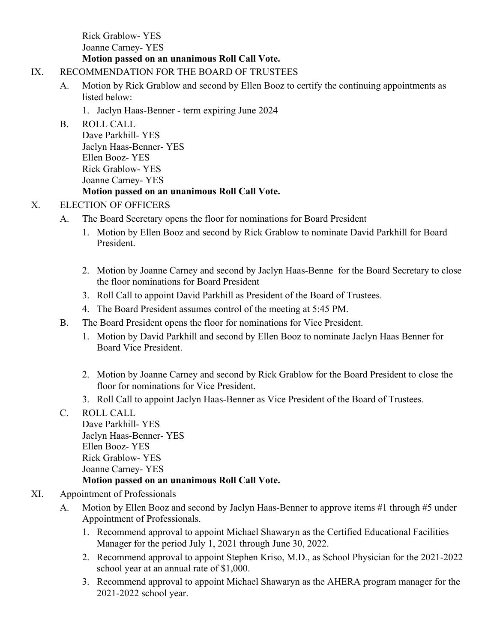Rick Grablow- YES Joanne Carney- YES **Motion passed on an unanimous Roll Call Vote.**

#### IX. RECOMMENDATION FOR THE BOARD OF TRUSTEES

A. Motion by Rick Grablow and second by Ellen Booz to certify the continuing appointments as listed below:

1. Jaclyn Haas-Benner - term expiring June 2024

B. ROLL CALL

Dave Parkhill- YES Jaclyn Haas-Benner- YES Ellen Booz- YES Rick Grablow- YES Joanne Carney- YES

### **Motion passed on an unanimous Roll Call Vote.**

### X. ELECTION OF OFFICERS

- A. The Board Secretary opens the floor for nominations for Board President
	- 1. Motion by Ellen Booz and second by Rick Grablow to nominate David Parkhill for Board President.
	- 2. Motion by Joanne Carney and second by Jaclyn Haas-Benne for the Board Secretary to close the floor nominations for Board President
	- 3. Roll Call to appoint David Parkhill as President of the Board of Trustees.
	- 4. The Board President assumes control of the meeting at 5:45 PM.
- B. The Board President opens the floor for nominations for Vice President.
	- 1. Motion by David Parkhill and second by Ellen Booz to nominate Jaclyn Haas Benner for Board Vice President.
	- 2. Motion by Joanne Carney and second by Rick Grablow for the Board President to close the floor for nominations for Vice President.
	- 3. Roll Call to appoint Jaclyn Haas-Benner as Vice President of the Board of Trustees.
- C. ROLL CALL Dave Parkhill- YES Jaclyn Haas-Benner- YES Ellen Booz- YES Rick Grablow- YES Joanne Carney- YES **Motion passed on an unanimous Roll Call Vote.**

### XI. Appointment of Professionals

- A. Motion by Ellen Booz and second by Jaclyn Haas-Benner to approve items #1 through #5 under Appointment of Professionals.
	- 1. Recommend approval to appoint Michael Shawaryn as the Certified Educational Facilities Manager for the period July 1, 2021 through June 30, 2022.
	- 2. Recommend approval to appoint Stephen Kriso, M.D., as School Physician for the 2021-2022 school year at an annual rate of \$1,000.
	- 3. Recommend approval to appoint Michael Shawaryn as the AHERA program manager for the 2021-2022 school year.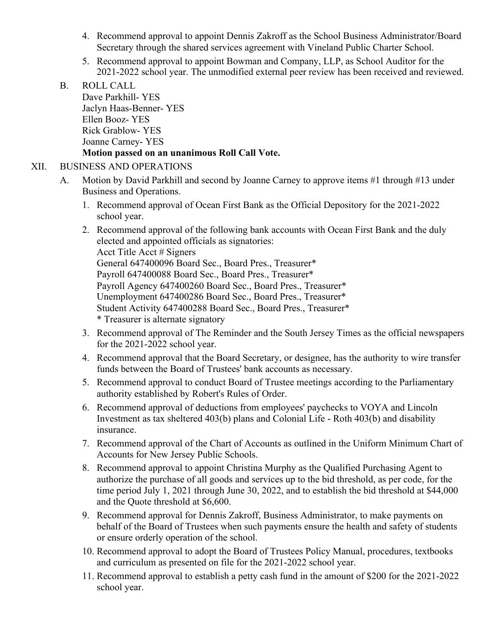- 4. Recommend approval to appoint Dennis Zakroff as the School Business Administrator/Board Secretary through the shared services agreement with Vineland Public Charter School.
- 5. Recommend approval to appoint Bowman and Company, LLP, as School Auditor for the 2021-2022 school year. The unmodified external peer review has been received and reviewed.
- B. ROLL CALL

Dave Parkhill- YES Jaclyn Haas-Benner- YES Ellen Booz- YES Rick Grablow- YES Joanne Carney- YES **Motion passed on an unanimous Roll Call Vote.**

#### XII. BUSINESS AND OPERATIONS

- A. Motion by David Parkhill and second by Joanne Carney to approve items #1 through #13 under Business and Operations.
	- 1. Recommend approval of Ocean First Bank as the Official Depository for the 2021-2022 school year.
	- 2. Recommend approval of the following bank accounts with Ocean First Bank and the duly elected and appointed officials as signatories: Acct Title Acct # Signers General 647400096 Board Sec., Board Pres., Treasurer\* Payroll 647400088 Board Sec., Board Pres., Treasurer\* Payroll Agency 647400260 Board Sec., Board Pres., Treasurer\* Unemployment 647400286 Board Sec., Board Pres., Treasurer\* Student Activity 647400288 Board Sec., Board Pres., Treasurer\* \* Treasurer is alternate signatory
	- 3. Recommend approval of The Reminder and the South Jersey Times as the official newspapers for the 2021-2022 school year.
	- 4. Recommend approval that the Board Secretary, or designee, has the authority to wire transfer funds between the Board of Trustees' bank accounts as necessary.
	- 5. Recommend approval to conduct Board of Trustee meetings according to the Parliamentary authority established by Robert's Rules of Order.
	- 6. Recommend approval of deductions from employees' paychecks to VOYA and Lincoln Investment as tax sheltered 403(b) plans and Colonial Life - Roth 403(b) and disability insurance.
	- 7. Recommend approval of the Chart of Accounts as outlined in the Uniform Minimum Chart of Accounts for New Jersey Public Schools.
	- 8. Recommend approval to appoint Christina Murphy as the Qualified Purchasing Agent to authorize the purchase of all goods and services up to the bid threshold, as per code, for the time period July 1, 2021 through June 30, 2022, and to establish the bid threshold at \$44,000 and the Quote threshold at \$6,600.
	- 9. Recommend approval for Dennis Zakroff, Business Administrator, to make payments on behalf of the Board of Trustees when such payments ensure the health and safety of students or ensure orderly operation of the school.
	- 10. Recommend approval to adopt the Board of Trustees Policy Manual, procedures, textbooks and curriculum as presented on file for the 2021-2022 school year.
	- 11. Recommend approval to establish a petty cash fund in the amount of \$200 for the 2021-2022 school year.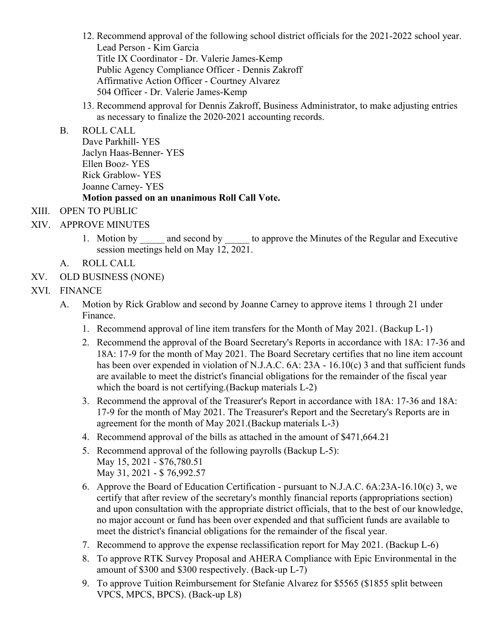- 12. Recommend approval of the following school district officials for the 2021-2022 school year. Lead Person - Kim Garcia Title IX Coordinator - Dr. Valerie James-Kemp Public Agency Compliance Officer - Dennis Zakroff Affirmative Action Officer - Courtney Alvarez 504 Officer - Dr. Valerie James-Kemp
- 13. Recommend approval for Dennis Zakroff, Business Administrator, to make adjusting entries as necessary to finalize the 2020-2021 accounting records.

#### B. ROLL CALL

Dave Parkhill- YES Jaclyn Haas-Benner- YES Ellen Booz- YES Rick Grablow- YES Joanne Carney- YES **Motion passed on an unanimous Roll Call Vote.**

## XIII. OPEN TO PUBLIC

- XIV. APPROVE MINUTES
	- 1. Motion by and second by to approve the Minutes of the Regular and Executive session meetings held on May 12, 2021.
	- A. ROLL CALL
- XV. OLD BUSINESS (NONE)

## XVI. FINANCE

- A. Motion by Rick Grablow and second by Joanne Carney to approve items 1 through 21 under Finance.
	- 1. Recommend approval of line item transfers for the Month of May 2021. (Backup L-1)
	- 2. Recommend the approval of the Board Secretary's Reports in accordance with 18A: 17-36 and 18A: 17-9 for the month of May 2021. The Board Secretary certifies that no line item account has been over expended in violation of N.J.A.C. 6A: 23A - 16.10(c) 3 and that sufficient funds are available to meet the district's financial obligations for the remainder of the fiscal year which the board is not certifying.(Backup materials L-2)
	- 3. Recommend the approval of the Treasurer's Report in accordance with 18A: 17-36 and 18A: 17-9 for the month of May 2021. The Treasurer's Report and the Secretary's Reports are in agreement for the month of May 2021.(Backup materials L-3)
	- 4. Recommend approval of the bills as attached in the amount of \$471,664.21
	- 5. Recommend approval of the following payrolls (Backup L-5): May 15, 2021 - \$76,780.51 May 31, 2021 - \$ 76,992.57
	- 6. Approve the Board of Education Certification pursuant to N.J.A.C. 6A:23A-16.10(c) 3, we certify that after review of the secretary's monthly financial reports (appropriations section) and upon consultation with the appropriate district officials, that to the best of our knowledge, no major account or fund has been over expended and that sufficient funds are available to meet the district's financial obligations for the remainder of the fiscal year.
	- 7. Recommend to approve the expense reclassification report for May 2021. (Backup L-6)
	- 8. To approve RTK Survey Proposal and AHERA Compliance with Epic Environmental in the amount of \$300 and \$300 respectively. (Back-up L-7)
	- 9. To approve Tuition Reimbursement for Stefanie Alvarez for \$5565 (\$1855 split between VPCS, MPCS, BPCS). (Back-up L8)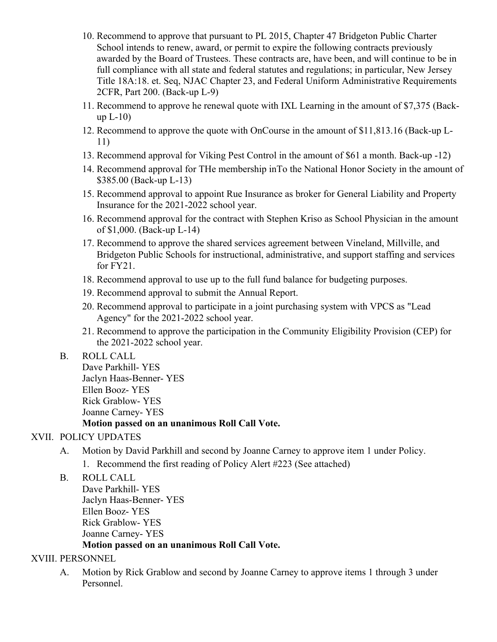- 10. Recommend to approve that pursuant to PL 2015, Chapter 47 Bridgeton Public Charter School intends to renew, award, or permit to expire the following contracts previously awarded by the Board of Trustees. These contracts are, have been, and will continue to be in full compliance with all state and federal statutes and regulations; in particular, New Jersey Title 18A:18. et. Seq, NJAC Chapter 23, and Federal Uniform Administrative Requirements 2CFR, Part 200. (Back-up L-9)
- 11. Recommend to approve he renewal quote with IXL Learning in the amount of \$7,375 (Backup  $L-10$ )
- 12. Recommend to approve the quote with OnCourse in the amount of \$11,813.16 (Back-up L-11)
- 13. Recommend approval for Viking Pest Control in the amount of \$61 a month. Back-up -12)
- 14. Recommend approval for THe membership inTo the National Honor Society in the amount of \$385.00 (Back-up L-13)
- 15. Recommend approval to appoint Rue Insurance as broker for General Liability and Property Insurance for the 2021-2022 school year.
- 16. Recommend approval for the contract with Stephen Kriso as School Physician in the amount of \$1,000. (Back-up L-14)
- 17. Recommend to approve the shared services agreement between Vineland, Millville, and Bridgeton Public Schools for instructional, administrative, and support staffing and services for FY21.
- 18. Recommend approval to use up to the full fund balance for budgeting purposes.
- 19. Recommend approval to submit the Annual Report.
- 20. Recommend approval to participate in a joint purchasing system with VPCS as "Lead Agency" for the 2021-2022 school year.
- 21. Recommend to approve the participation in the Community Eligibility Provision (CEP) for the 2021-2022 school year.

### B. ROLL CALL

Dave Parkhill- YES Jaclyn Haas-Benner- YES Ellen Booz- YES Rick Grablow- YES Joanne Carney- YES **Motion passed on an unanimous Roll Call Vote.**

# XVII. POLICY UPDATES

- A. Motion by David Parkhill and second by Joanne Carney to approve item 1 under Policy.
	- 1. Recommend the first reading of Policy Alert #223 (See attached)
- B. ROLL CALL

Dave Parkhill- YES Jaclyn Haas-Benner- YES Ellen Booz- YES Rick Grablow- YES Joanne Carney- YES **Motion passed on an unanimous Roll Call Vote.**

# XVIII. PERSONNEL

A. Motion by Rick Grablow and second by Joanne Carney to approve items 1 through 3 under Personnel.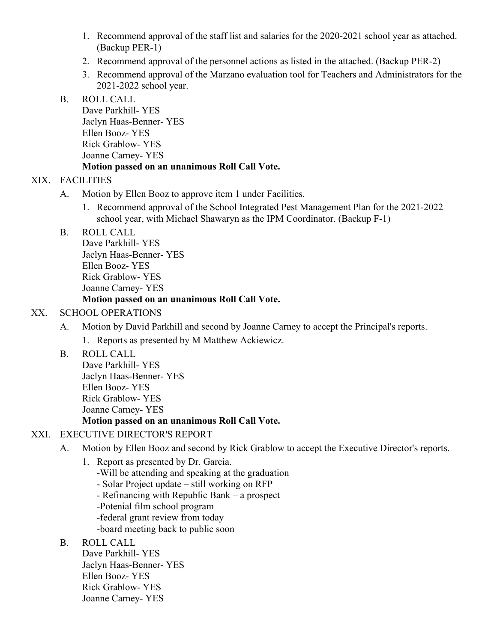- 1. Recommend approval of the staff list and salaries for the 2020-2021 school year as attached. (Backup PER-1)
- 2. Recommend approval of the personnel actions as listed in the attached. (Backup PER-2)
- 3. Recommend approval of the Marzano evaluation tool for Teachers and Administrators for the 2021-2022 school year.

### B. ROLL CALL

Dave Parkhill- YES Jaclyn Haas-Benner- YES Ellen Booz- YES Rick Grablow- YES Joanne Carney- YES **Motion passed on an unanimous Roll Call Vote.**

# XIX. FACILITIES

- A. Motion by Ellen Booz to approve item 1 under Facilities.
	- 1. Recommend approval of the School Integrated Pest Management Plan for the 2021-2022 school year, with Michael Shawaryn as the IPM Coordinator. (Backup F-1)
- B. ROLL CALL

Dave Parkhill- YES Jaclyn Haas-Benner- YES Ellen Booz- YES Rick Grablow- YES Joanne Carney- YES

## **Motion passed on an unanimous Roll Call Vote.**

## XX. SCHOOL OPERATIONS

A. Motion by David Parkhill and second by Joanne Carney to accept the Principal's reports.

1. Reports as presented by M Matthew Ackiewicz.

B. ROLL CALL

Dave Parkhill- YES Jaclyn Haas-Benner- YES Ellen Booz- YES Rick Grablow- YES Joanne Carney- YES

### **Motion passed on an unanimous Roll Call Vote.**

# XXI. EXECUTIVE DIRECTOR'S REPORT

- A. Motion by Ellen Booz and second by Rick Grablow to accept the Executive Director's reports.
	- 1. Report as presented by Dr. Garcia.
		- -Will be attending and speaking at the graduation
		- Solar Project update still working on RFP
		- Refinancing with Republic Bank a prospect
		- -Potenial film school program
		- -federal grant review from today
		- -board meeting back to public soon
- B. ROLL CALL

Dave Parkhill- YES Jaclyn Haas-Benner- YES Ellen Booz- YES Rick Grablow- YES Joanne Carney- YES